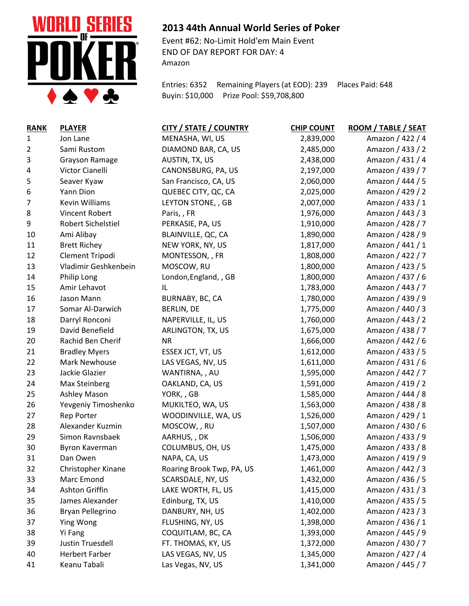

## **2013 44th Annual World Series of Poker**

Event #62: No-Limit Hold'em Main Event END OF DAY REPORT FOR DAY: 4 Amazon

Entries: 6352 Remaining Players (at EOD): 239 Places Paid: 648 Buyin: \$10,000 Prize Pool: \$59,708,800

| <b>RANK</b> | <b>PLAYER</b>         | CITY / STATE / COUNTRY    | <b>CHIP COUNT</b> | ROOM / TABLE / SEAT |
|-------------|-----------------------|---------------------------|-------------------|---------------------|
| 1           | Jon Lane              | MENASHA, WI, US           | 2,839,000         | Amazon / 422 / 4    |
| 2           | Sami Rustom           | DIAMOND BAR, CA, US       | 2,485,000         | Amazon / 433 / 2    |
| 3           | <b>Grayson Ramage</b> | AUSTIN, TX, US            | 2,438,000         | Amazon / 431 / 4    |
| 4           | Victor Cianelli       | CANONSBURG, PA, US        | 2,197,000         | Amazon / 439 / 7    |
| 5           | Seaver Kyaw           | San Francisco, CA, US     | 2,060,000         | Amazon / 444 / 5    |
| 6           | Yann Dion             | QUEBEC CITY, QC, CA       | 2,025,000         | Amazon / 429 / 2    |
| 7           | Kevin Williams        | LEYTON STONE, , GB        | 2,007,000         | Amazon / 433 / 1    |
| 8           | Vincent Robert        | Paris, , FR               | 1,976,000         | Amazon / 443 / 3    |
| 9           | Robert Sichelstiel    | PERKASIE, PA, US          | 1,910,000         | Amazon / 428 / 7    |
| 10          | Ami Alibay            | BLAINVILLE, QC, CA        | 1,890,000         | Amazon / 428 / 9    |
| 11          | <b>Brett Richey</b>   | NEW YORK, NY, US          | 1,817,000         | Amazon / 441 / 1    |
| 12          | Clement Tripodi       | MONTESSON, , FR           | 1,808,000         | Amazon / 422 / 7    |
| 13          | Vladimir Geshkenbein  | MOSCOW, RU                | 1,800,000         | Amazon / 423 / 5    |
| 14          | Philip Long           | London, England, , GB     | 1,800,000         | Amazon / 437 / 6    |
| 15          | Amir Lehavot          | IL                        | 1,783,000         | Amazon / 443 / 7    |
| 16          | Jason Mann            | BURNABY, BC, CA           | 1,780,000         | Amazon / 439 / 9    |
| 17          | Somar Al-Darwich      | <b>BERLIN, DE</b>         | 1,775,000         | Amazon / 440 / 3    |
| 18          | Darryl Ronconi        | NAPERVILLE, IL, US        | 1,760,000         | Amazon / 443 / 2    |
| 19          | David Benefield       | ARLINGTON, TX, US         | 1,675,000         | Amazon / 438 / 7    |
| 20          | Rachid Ben Cherif     | <b>NR</b>                 | 1,666,000         | Amazon / 442 / 6    |
| 21          | <b>Bradley Myers</b>  | ESSEX JCT, VT, US         | 1,612,000         | Amazon / 433 / 5    |
| 22          | Mark Newhouse         | LAS VEGAS, NV, US         | 1,611,000         | Amazon / 431 / 6    |
| 23          | Jackie Glazier        | WANTIRNA, , AU            | 1,595,000         | Amazon / 442 / 7    |
| 24          | <b>Max Steinberg</b>  | OAKLAND, CA, US           | 1,591,000         | Amazon / 419 / 2    |
| 25          | Ashley Mason          | YORK, GB                  | 1,585,000         | Amazon / 444 / 8    |
| 26          | Yevgeniy Timoshenko   | MUKILTEO, WA, US          | 1,563,000         | Amazon / 438 / 8    |
| 27          | <b>Rep Porter</b>     | WOODINVILLE, WA, US       | 1,526,000         | Amazon / 429 / 1    |
| 28          | Alexander Kuzmin      | MOSCOW, , RU              | 1,507,000         | Amazon / 430 / 6    |
| 29          | Simon Ravnsbaek       | AARHUS, , DK              | 1,506,000         | Amazon / 433 / 9    |
| 30          | Byron Kaverman        | COLUMBUS, OH, US          | 1,475,000         | Amazon / 433 / 8    |
| 31          | Dan Owen              | NAPA, CA, US              | 1,473,000         | Amazon / 419 / 9    |
| 32          | Christopher Kinane    | Roaring Brook Twp, PA, US | 1,461,000         | Amazon / 442 / 3    |
| 33          | Marc Emond            | SCARSDALE, NY, US         | 1,432,000         | Amazon / 436 / 5    |
| 34          | Ashton Griffin        | LAKE WORTH, FL, US        | 1,415,000         | Amazon / 431 / 3    |
| 35          | James Alexander       | Edinburg, TX, US          | 1,410,000         | Amazon / 435 / 5    |
| 36          | Bryan Pellegrino      | DANBURY, NH, US           | 1,402,000         | Amazon / 423 / 3    |
| 37          | Ying Wong             | FLUSHING, NY, US          | 1,398,000         | Amazon / 436 / 1    |
| 38          | Yi Fang               | COQUITLAM, BC, CA         | 1,393,000         | Amazon / 445 / 9    |
| 39          | Justin Truesdell      | FT. THOMAS, KY, US        | 1,372,000         | Amazon / 430 / 7    |
| 40          | <b>Herbert Farber</b> | LAS VEGAS, NV, US         | 1,345,000         | Amazon / 427 / 4    |
| 41          | Keanu Tabali          | Las Vegas, NV, US         | 1,341,000         | Amazon / 445 / 7    |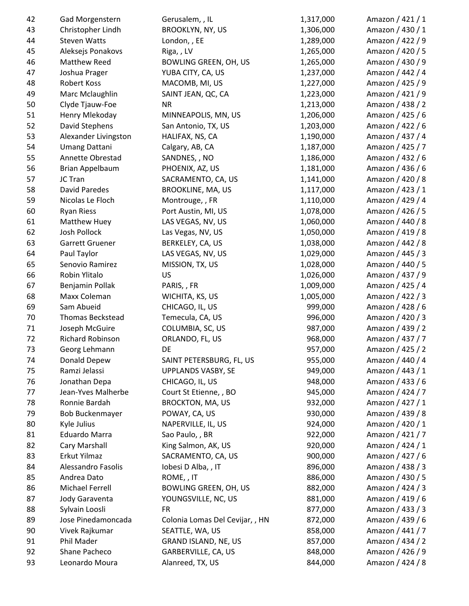| 42       | Gad Morgenstern              | Gerusalem, , IL                 | 1,317,000          | Amazon / 421 / 1                     |
|----------|------------------------------|---------------------------------|--------------------|--------------------------------------|
| 43       | Christopher Lindh            | <b>BROOKLYN, NY, US</b>         | 1,306,000          | Amazon / 430 / 1                     |
| 44       | <b>Steven Watts</b>          | London, , EE                    | 1,289,000          | Amazon / 422 / 9                     |
| 45       | Aleksejs Ponakovs            | Riga, , LV                      | 1,265,000          | Amazon / 420 / 5                     |
| 46       | Matthew Reed                 | <b>BOWLING GREEN, OH, US</b>    | 1,265,000          | Amazon / 430 / 9                     |
| 47       | Joshua Prager                | YUBA CITY, CA, US               | 1,237,000          | Amazon / 442 / 4                     |
| 48       | <b>Robert Koss</b>           | MACOMB, MI, US                  | 1,227,000          | Amazon / 425 / 9                     |
| 49       | Marc Mclaughlin              | SAINT JEAN, QC, CA              | 1,223,000          | Amazon / 421 / 9                     |
| 50       | Clyde Tjauw-Foe              | <b>NR</b>                       | 1,213,000          | Amazon / 438 / 2                     |
| 51       | Henry Mlekoday               | MINNEAPOLIS, MN, US             | 1,206,000          | Amazon / 425 / 6                     |
| 52       | David Stephens               | San Antonio, TX, US             | 1,203,000          | Amazon / 422 / 6                     |
| 53       | Alexander Livingston         | HALIFAX, NS, CA                 | 1,190,000          | Amazon / 437 / 4                     |
| 54       | <b>Umang Dattani</b>         | Calgary, AB, CA                 | 1,187,000          | Amazon / 425 / 7                     |
| 55       | Annette Obrestad             | SANDNES, , NO                   | 1,186,000          | Amazon / 432 / 6                     |
| 56       | Brian Appelbaum              | PHOENIX, AZ, US                 | 1,181,000          | Amazon / 436 / 6                     |
| 57       | JC Tran                      | SACRAMENTO, CA, US              | 1,141,000          | Amazon / 420 / 8                     |
| 58       | <b>David Paredes</b>         | <b>BROOKLINE, MA, US</b>        | 1,117,000          | Amazon / 423 / 1                     |
| 59       | Nicolas Le Floch             | Montrouge, , FR                 | 1,110,000          | Amazon / 429 / 4                     |
| 60       | <b>Ryan Riess</b>            | Port Austin, MI, US             | 1,078,000          | Amazon / 426 / 5                     |
| 61       | <b>Matthew Huey</b>          | LAS VEGAS, NV, US               | 1,060,000          | Amazon / 440 / 8                     |
| 62       | Josh Pollock                 | Las Vegas, NV, US               | 1,050,000          | Amazon / 419 / 8                     |
| 63       | Garrett Gruener              | BERKELEY, CA, US                | 1,038,000          | Amazon / 442 / 8                     |
| 64       | Paul Taylor                  | LAS VEGAS, NV, US               | 1,029,000          | Amazon / 445 / 3                     |
| 65       | Senovio Ramirez              | MISSION, TX, US                 | 1,028,000          | Amazon / 440 / 5                     |
| 66       | Robin Ylitalo                | US                              | 1,026,000          | Amazon / 437 / 9                     |
| 67       | Benjamin Pollak              | PARIS, FR                       | 1,009,000          | Amazon / 425 / 4                     |
| 68       | Maxx Coleman                 | WICHITA, KS, US                 | 1,005,000          | Amazon / 422 / 3                     |
| 69       | Sam Abueid                   | CHICAGO, IL, US                 | 999,000            | Amazon / 428 / 6                     |
| 70       | Thomas Beckstead             | Temecula, CA, US                | 996,000            | Amazon / 420 / 3                     |
| 71       | Joseph McGuire               | COLUMBIA, SC, US                | 987,000            | Amazon / 439 / 2                     |
| 72       | <b>Richard Robinson</b>      | ORLANDO, FL, US                 | 968,000            | Amazon / 437 / 7                     |
| 73       | Georg Lehmann                | DE                              | 957,000            | Amazon / 425 / 2                     |
| 74       | Donald Depew                 | SAINT PETERSBURG, FL, US        | 955,000            | Amazon / 440 / 4                     |
| 75       | Ramzi Jelassi                | <b>UPPLANDS VASBY, SE</b>       | 949,000            | Amazon / 443 / 1                     |
| 76       | Jonathan Depa                | CHICAGO, IL, US                 | 948,000            | Amazon / 433 / 6                     |
| 77       | Jean-Yves Malherbe           | Court St Etienne, , BO          | 945,000            | Amazon / 424 / 7                     |
| 78       | Ronnie Bardah                | <b>BROCKTON, MA, US</b>         | 932,000            | Amazon / 427 / 1                     |
| 79       | <b>Bob Buckenmayer</b>       | POWAY, CA, US                   | 930,000            | Amazon / 439 / 8                     |
| 80       | Kyle Julius                  | NAPERVILLE, IL, US              | 924,000            | Amazon / 420 / 1                     |
| 81       | <b>Eduardo Marra</b>         | Sao Paulo, , BR                 | 922,000            | Amazon / 421 / 7                     |
| 82       | Cary Marshall                | King Salmon, AK, US             | 920,000            | Amazon / 424 / 1                     |
| 83       | Erkut Yilmaz                 | SACRAMENTO, CA, US              | 900,000            | Amazon / 427 / 6                     |
| 84       | <b>Alessandro Fasolis</b>    | Iobesi D Alba, , IT             | 896,000            | Amazon / 438 / 3                     |
| 85       | Andrea Dato                  | ROME, , IT                      | 886,000            | Amazon / 430 / 5                     |
| 86       | Michael Ferrell              | <b>BOWLING GREEN, OH, US</b>    | 882,000            | Amazon / 424 / 3                     |
|          |                              |                                 |                    |                                      |
| 87       | Jody Garaventa               | YOUNGSVILLE, NC, US             | 881,000            | Amazon / 419 / 6                     |
| 88       | Sylvain Loosli               | <b>FR</b>                       | 877,000            | Amazon / 433 / 3                     |
| 89       | Jose Pinedamoncada           | Colonia Lomas Del Cevijar, , HN | 872,000            | Amazon / 439 / 6                     |
| 90       | Vivek Rajkumar<br>Phil Mader | SEATTLE, WA, US                 | 858,000            | Amazon / 441 / 7                     |
| 91<br>92 | Shane Pacheco                | GRAND ISLAND, NE, US            | 857,000<br>848,000 | Amazon / 434 / 2<br>Amazon / 426 / 9 |
|          |                              | GARBERVILLE, CA, US             |                    |                                      |
| 93       | Leonardo Moura               | Alanreed, TX, US                | 844,000            | Amazon / 424 / 8                     |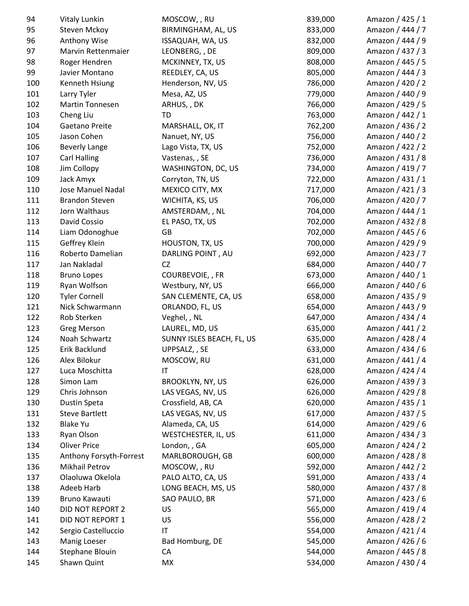| 94  | Vitaly Lunkin           | MOSCOW, , RU              | 839,000 | Amazon / 425 / 1 |
|-----|-------------------------|---------------------------|---------|------------------|
| 95  | Steven Mckoy            | BIRMINGHAM, AL, US        | 833,000 | Amazon / 444 / 7 |
| 96  | Anthony Wise            | ISSAQUAH, WA, US          | 832,000 | Amazon / 444 / 9 |
| 97  | Marvin Rettenmaier      | LEONBERG, , DE            | 809,000 | Amazon / 437 / 3 |
| 98  | Roger Hendren           | MCKINNEY, TX, US          | 808,000 | Amazon / 445 / 5 |
| 99  | Javier Montano          | REEDLEY, CA, US           | 805,000 | Amazon / 444 / 3 |
| 100 | Kenneth Hsiung          | Henderson, NV, US         | 786,000 | Amazon / 420 / 2 |
| 101 | Larry Tyler             | Mesa, AZ, US              | 779,000 | Amazon / 440 / 9 |
| 102 | Martin Tonnesen         | ARHUS, , DK               | 766,000 | Amazon / 429 / 5 |
| 103 | Cheng Liu               | TD                        | 763,000 | Amazon / 442 / 1 |
| 104 | Gaetano Preite          | MARSHALL, OK, IT          | 762,200 | Amazon / 436 / 2 |
| 105 | Jason Cohen             | Nanuet, NY, US            | 756,000 | Amazon / 440 / 2 |
| 106 | <b>Beverly Lange</b>    | Lago Vista, TX, US        | 752,000 | Amazon / 422 / 2 |
| 107 | <b>Carl Halling</b>     | Vastenas, , SE            | 736,000 | Amazon / 431 / 8 |
| 108 | Jim Collopy             | WASHINGTON, DC, US        | 734,000 | Amazon / 419 / 7 |
| 109 | Jack Amyx               | Corryton, TN, US          | 722,000 | Amazon / 431 / 1 |
| 110 | Jose Manuel Nadal       | MEXICO CITY, MX           | 717,000 | Amazon / 421 / 3 |
| 111 | <b>Brandon Steven</b>   | WICHITA, KS, US           | 706,000 | Amazon / 420 / 7 |
| 112 | Jorn Walthaus           | AMSTERDAM, , NL           | 704,000 | Amazon / 444 / 1 |
| 113 | David Cossio            | EL PASO, TX, US           | 702,000 | Amazon / 432 / 8 |
| 114 | Liam Odonoghue          | GB                        | 702,000 | Amazon / 445 / 6 |
| 115 | Geffrey Klein           | HOUSTON, TX, US           | 700,000 | Amazon / 429 / 9 |
| 116 | Roberto Damelian        | DARLING POINT, AU         | 692,000 | Amazon / 423 / 7 |
| 117 | Jan Nakladal            | <b>CZ</b>                 | 684,000 | Amazon / 440 / 7 |
| 118 | <b>Bruno Lopes</b>      | COURBEVOIE, , FR          | 673,000 | Amazon / 440 / 1 |
| 119 | Ryan Wolfson            | Westbury, NY, US          | 666,000 | Amazon / 440 / 6 |
| 120 | <b>Tyler Cornell</b>    | SAN CLEMENTE, CA, US      | 658,000 | Amazon / 435 / 9 |
| 121 | Nick Schwarmann         | ORLANDO, FL, US           | 654,000 | Amazon / 443 / 9 |
| 122 | Rob Sterken             | Veghel, , NL              | 647,000 | Amazon / 434 / 4 |
| 123 | <b>Greg Merson</b>      | LAUREL, MD, US            | 635,000 | Amazon / 441 / 2 |
| 124 | Noah Schwartz           | SUNNY ISLES BEACH, FL, US | 635,000 | Amazon / 428 / 4 |
| 125 | Erik Backlund           | UPPSALZ, , SE             | 633,000 | Amazon / 434 / 6 |
| 126 | Alex Bilokur            | MOSCOW, RU                | 631,000 | Amazon / 441 / 4 |
| 127 | Luca Moschitta          | IT                        | 628,000 | Amazon / 424 / 4 |
| 128 | Simon Lam               | <b>BROOKLYN, NY, US</b>   | 626,000 | Amazon / 439 / 3 |
| 129 | Chris Johnson           | LAS VEGAS, NV, US         | 626,000 | Amazon / 429 / 8 |
| 130 | Dustin Speta            | Crossfield, AB, CA        | 620,000 | Amazon / 435 / 1 |
| 131 | <b>Steve Bartlett</b>   | LAS VEGAS, NV, US         | 617,000 | Amazon / 437 / 5 |
| 132 | <b>Blake Yu</b>         | Alameda, CA, US           | 614,000 | Amazon / 429 / 6 |
| 133 | Ryan Olson              | WESTCHESTER, IL, US       | 611,000 | Amazon / 434 / 3 |
| 134 | <b>Oliver Price</b>     | London, , GA              | 605,000 | Amazon / 424 / 2 |
| 135 | Anthony Forsyth-Forrest | MARLBOROUGH, GB           | 600,000 | Amazon / 428 / 8 |
| 136 | <b>Mikhail Petrov</b>   | MOSCOW, , RU              | 592,000 | Amazon / 442 / 2 |
| 137 | Olaoluwa Okelola        | PALO ALTO, CA, US         | 591,000 | Amazon / 433 / 4 |
| 138 | Adeeb Harb              | LONG BEACH, MS, US        | 580,000 | Amazon / 437 / 8 |
| 139 | Bruno Kawauti           | SAO PAULO, BR             | 571,000 | Amazon / 423 / 6 |
| 140 | DID NOT REPORT 2        | US                        | 565,000 | Amazon / 419 / 4 |
| 141 | DID NOT REPORT 1        | US                        | 556,000 | Amazon / 428 / 2 |
| 142 | Sergio Castelluccio     | $\mathsf{I}\mathsf{T}$    | 554,000 | Amazon / 421 / 4 |
| 143 | Manig Loeser            | Bad Homburg, DE           | 545,000 | Amazon / 426 / 6 |
| 144 | Stephane Blouin         | CA                        | 544,000 | Amazon / 445 / 8 |
| 145 | Shawn Quint             | MX                        | 534,000 | Amazon / 430 / 4 |
|     |                         |                           |         |                  |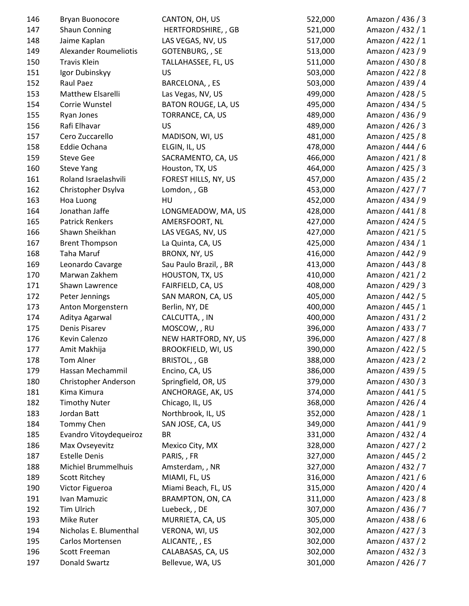| 146 | Bryan Buonocore              | CANTON, OH, US             | 522,000 | Amazon / 436 / 3 |
|-----|------------------------------|----------------------------|---------|------------------|
| 147 | <b>Shaun Conning</b>         | HERTFORDSHIRE, , GB        | 521,000 | Amazon / 432 / 1 |
| 148 | Jaime Kaplan                 | LAS VEGAS, NV, US          | 517,000 | Amazon / 422 / 1 |
| 149 | <b>Alexander Roumeliotis</b> | GOTENBURG, , SE            | 513,000 | Amazon / 423 / 9 |
| 150 | Travis Klein                 | TALLAHASSEE, FL, US        | 511,000 | Amazon / 430 / 8 |
| 151 | Igor Dubinskyy               | US                         | 503,000 | Amazon / 422 / 8 |
| 152 | Raul Paez                    | BARCELONA, , ES            | 503,000 | Amazon / 439 / 4 |
| 153 | Matthew Elsarelli            | Las Vegas, NV, US          | 499,000 | Amazon / 428 / 5 |
| 154 | Corrie Wunstel               | <b>BATON ROUGE, LA, US</b> | 495,000 | Amazon / 434 / 5 |
| 155 | Ryan Jones                   | TORRANCE, CA, US           | 489,000 | Amazon / 436 / 9 |
| 156 | Rafi Elhavar                 | <b>US</b>                  | 489,000 | Amazon / 426 / 3 |
| 157 | Cero Zuccarello              | MADISON, WI, US            | 481,000 | Amazon / 425 / 8 |
| 158 | Eddie Ochana                 | ELGIN, IL, US              | 478,000 | Amazon / 444 / 6 |
| 159 | <b>Steve Gee</b>             | SACRAMENTO, CA, US         | 466,000 | Amazon / 421 / 8 |
| 160 | <b>Steve Yang</b>            | Houston, TX, US            | 464,000 | Amazon / 425 / 3 |
| 161 | Roland Israelashvili         | FOREST HILLS, NY, US       | 457,000 | Amazon / 435 / 2 |
| 162 | Christopher Dsylva           | Lomdon, , GB               | 453,000 | Amazon / 427 / 7 |
| 163 | Hoa Luong                    | HU                         | 452,000 | Amazon / 434 / 9 |
| 164 | Jonathan Jaffe               | LONGMEADOW, MA, US         | 428,000 | Amazon / 441 / 8 |
| 165 | <b>Patrick Renkers</b>       | AMERSFOORT, NL             | 427,000 | Amazon / 424 / 5 |
| 166 | Shawn Sheikhan               | LAS VEGAS, NV, US          | 427,000 | Amazon / 421 / 5 |
| 167 | <b>Brent Thompson</b>        | La Quinta, CA, US          | 425,000 | Amazon / 434 / 1 |
| 168 | Taha Maruf                   | BRONX, NY, US              | 416,000 | Amazon / 442 / 9 |
| 169 | Leonardo Cavarge             | Sau Paulo Brazil, , BR     | 413,000 | Amazon / 443 / 8 |
| 170 | Marwan Zakhem                | HOUSTON, TX, US            | 410,000 | Amazon / 421 / 2 |
| 171 | Shawn Lawrence               | FAIRFIELD, CA, US          | 408,000 | Amazon / 429 / 3 |
| 172 | Peter Jennings               | SAN MARON, CA, US          | 405,000 | Amazon / 442 / 5 |
| 173 | Anton Morgenstern            | Berlin, NY, DE             | 400,000 | Amazon / 445 / 1 |
| 174 | Aditya Agarwal               | CALCUTTA, , IN             | 400,000 | Amazon / 431 / 2 |
| 175 | Denis Pisarev                | MOSCOW, , RU               | 396,000 | Amazon / 433 / 7 |
| 176 | Kevin Calenzo                | NEW HARTFORD, NY, US       | 396,000 | Amazon / 427 / 8 |
| 177 | Amit Makhija                 | <b>BROOKFIELD, WI, US</b>  | 390,000 | Amazon / 422 / 5 |
| 178 | Tom Alner                    | BRISTOL, , GB              | 388,000 | Amazon / 423 / 2 |
| 179 | Hassan Mechammil             | Encino, CA, US             | 386,000 | Amazon / 439 / 5 |
| 180 | Christopher Anderson         | Springfield, OR, US        | 379,000 | Amazon / 430 / 3 |
| 181 | Kima Kimura                  | ANCHORAGE, AK, US          | 374,000 | Amazon / 441 / 5 |
| 182 | <b>Timothy Nuter</b>         | Chicago, IL, US            | 368,000 | Amazon / 426 / 4 |
| 183 | Jordan Batt                  | Northbrook, IL, US         | 352,000 | Amazon / 428 / 1 |
| 184 | Tommy Chen                   | SAN JOSE, CA, US           | 349,000 | Amazon / 441 / 9 |
| 185 | Evandro Vitoydequeiroz       | <b>BR</b>                  | 331,000 | Amazon / 432 / 4 |
| 186 | Max Ovseyevitz               | Mexico City, MX            | 328,000 | Amazon / 427 / 2 |
| 187 | <b>Estelle Denis</b>         | PARIS, , FR                | 327,000 | Amazon / 445 / 2 |
| 188 | Michiel Brummelhuis          | Amsterdam, , NR            | 327,000 | Amazon / 432 / 7 |
| 189 | <b>Scott Ritchey</b>         | MIAMI, FL, US              | 316,000 | Amazon / 421 / 6 |
| 190 | Victor Figueroa              | Miami Beach, FL, US        | 315,000 | Amazon / 420 / 4 |
| 191 | Ivan Mamuzic                 | BRAMPTON, ON, CA           | 311,000 | Amazon / 423 / 8 |
| 192 | Tim Ulrich                   | Luebeck, , DE              | 307,000 | Amazon / 436 / 7 |
| 193 | Mike Ruter                   | MURRIETA, CA, US           | 305,000 | Amazon / 438 / 6 |
| 194 | Nicholas E. Blumenthal       | VERONA, WI, US             | 302,000 | Amazon / 427 / 3 |
| 195 | Carlos Mortensen             | ALICANTE, , ES             | 302,000 | Amazon / 437 / 2 |
| 196 | Scott Freeman                | CALABASAS, CA, US          | 302,000 | Amazon / 432 / 3 |
| 197 | Donald Swartz                | Bellevue, WA, US           | 301,000 | Amazon / 426 / 7 |
|     |                              |                            |         |                  |